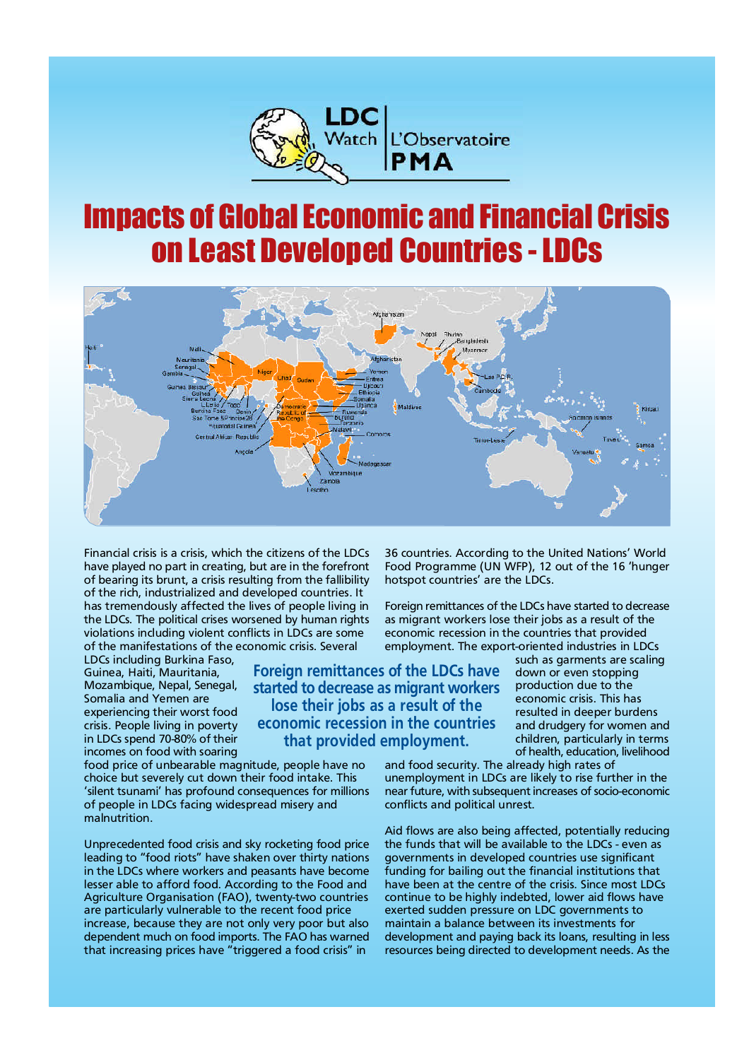

# **Impacts of Global Economic and Financial Crisis** on Least Developed Countries -LDCs



Financial crisis is a crisis, which the citizens of the LDCs have played no part in creating, but are in the forefront of bearing its brunt, a crisis resulting from the fallibility of the rich, industrialized and developed countries. It has tremendously affected the lives of people living in the LDCs. The political crises worsened by human rights violations including violent conflicts in LDCs are some of the manifestations of the economic crisis. Several

LDCs including Burkina Faso, Guinea, Haiti, Mauritania, Mozambique, Nepal, Senegal, Somalia and Yemen are experiencing their worst food crisis. People living in poverty in LDCs spend 70-80% of their incomes on food with soaring

food price of unbearable magnitude, people have no choice but severely cut down their food intake. This 'silent tsunami' has profound consequences for millions of people in LDCs facing widespread misery and malnutrition.

Unprecedented food crisis and sky rocketing food price leading to "food riots" have shaken over thirty nations in the LDCs where workers and peasants have become lesser able to afford food. According to the Food and Agriculture Organisation (FAO), twenty-two countries are particularly vulnerable to the recent food price increase, because they are not only very poor but also dependent much on food imports. The FAO has warned that increasing prices have "triggered a food crisis" in

36 countries. According to the United Nations' World Food Programme (UN WFP), 12 out of the 16 'hunger hotspot countries' are the LDCs.

Foreign remittances of the LDCs have started to decrease as migrant workers lose their jobs as a result of the economic recession in the countries that provided employment. The export-oriented industries in LDCs

**Foreign remittances of the LDCs have started to decrease as migrant workers lose their jobs as a result of the economic recession in the countries that provided employment.**

such as garments are scaling down or even stopping production due to the economic crisis. This has resulted in deeper burdens and drudgery for women and children, particularly in terms of health, education, livelihood

and food security. The already high rates of unemployment in LDCs are likely to rise further in the near future, with subsequent increases of socio-economic conflicts and political unrest.

Aid flows are also being affected, potentially reducing the funds that will be available to the LDCs - even as governments in developed countries use significant funding for bailing out the financial institutions that have been at the centre of the crisis. Since most LDCs continue to be highly indebted, lower aid flows have exerted sudden pressure on LDC governments to maintain a balance between its investments for development and paying back its loans, resulting in less resources being directed to development needs. As the